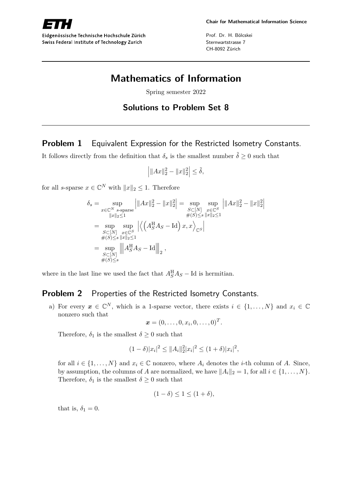Prof. Dr. H. Bölcskei Sternwartstrasse 7 CH-8092 Zürich

# **Mathematics of Information**

Spring semester 2022

#### **Solutions to Problem Set 8**

## **Problem 1** Equivalent Expression for the Restricted Isometry Constants.

It follows directly from the definition that  $\delta_s$  is the smallest number  $\tilde{\delta} \geq 0$  such that

$$
\left| \|Ax\|_2^2 - \|x\|_2^2 \right| \le \tilde{\delta},
$$

for all *s*-sparse  $x \in \mathbb{C}^N$  with  $||x||_2 \leq 1$ . Therefore

$$
\delta_{s} = \sup_{\substack{x \in \mathbb{C}^{N} \ s\text{-sparse} \\ \|x\|_{2} \le 1}} \left| \|Ax\|_{2}^{2} - \|x\|_{2}^{2} \right| = \sup_{\substack{S \subset [N] \ x \in \mathbb{C}^{S} \\ \#(S) \le s \ \|x\|_{2} \le 1}} \sup_{\substack{x \in \mathbb{C}^{S} \\ x \in S}} \left| \|Ax\|_{2}^{2} - \|x\|_{2}^{2} \right|
$$
  
\n
$$
= \sup_{\substack{S \subset [N] \ x \in \mathbb{C}^{S} \\ \#(S) \le s \ \|x\|_{2} \le 1}} \left| \left\langle \left(A_{S}^{H} A_{S} - \text{Id} \right) x, x \right\rangle_{\mathbb{C}^{S}} \right|
$$
  
\n
$$
= \sup_{\substack{S \subset [N] \\ \#(S) \le s}} \left\| A_{S}^{H} A_{S} - \text{Id} \right\|_{2},
$$

where in the last line we used the fact that  $A_S^{\text{H}}A_S - \text{Id}$  is hermitian.

#### **Problem 2** Properties of the Restricted Isometry Constants.

a) For every  $x \in \mathbb{C}^N$ , which is a 1-sparse vector, there exists  $i \in \{1, \ldots, N\}$  and  $x_i \in \mathbb{C}$ nonzero such that

$$
\boldsymbol{x}=(0,\ldots,0,x_i,0,\ldots,0)^T.
$$

Therefore,  $\delta_1$  is the smallest  $\delta \geq 0$  such that

$$
(1 - \delta)|x_i|^2 \le ||A_i||_2^2 |x_i|^2 \le (1 + \delta)|x_i|^2,
$$

for all  $i \in \{1, ..., N\}$  and  $x_i \in \mathbb{C}$  nonzero, where  $A_i$  denotes the *i*-th column of *A*. Since, by assumption, the columns of *A* are normalized, we have  $||A_i||_2 = 1$ , for all  $i \in \{1, \ldots, N\}$ . Therefore,  $\delta_1$  is the smallest  $\delta \geq 0$  such that

$$
(1 - \delta) \le 1 \le (1 + \delta),
$$

that is,  $\delta_1 = 0$ .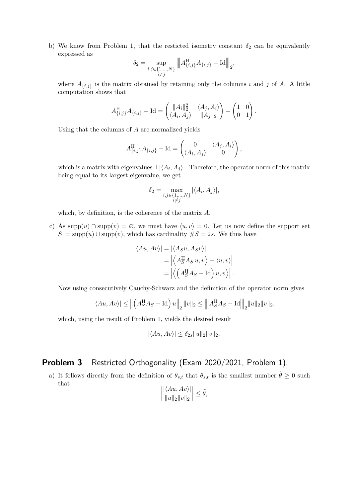b) We know from Problem 1, that the resticted isometry constant  $\delta_2$  can be equivalently expressed as

$$
\delta_2 = \sup_{\substack{i,j \in \{1,\ldots,N\} \\ i \neq j}} \left\| A_{\{i,j\}}^{\mathrm{H}} A_{\{i,j\}} - \mathrm{Id} \right\|_2,
$$

where  $A_{\{i,j\}}$  is the matrix obtained by retaining only the columns *i* and *j* of *A*. A little computation shows that

$$
A_{\{i,j\}}^{\mathrm{H}} A_{\{i,j\}} - \mathrm{Id} = \begin{pmatrix} \|A_i\|_2^2 & \langle A_j, A_i \rangle \\ \langle A_i, A_j \rangle & \|A_j\|_2 \end{pmatrix} - \begin{pmatrix} 1 & 0 \\ 0 & 1 \end{pmatrix}.
$$

Using that the columns of *A* are normalized yields

$$
A_{\{i,j\}}^{\rm H} A_{\{i,j\}} - \text{Id} = \begin{pmatrix} 0 & \langle A_j, A_i \rangle \\ \langle A_i, A_j \rangle & 0 \end{pmatrix},
$$

which is a matrix with eigenvalues  $\pm |\langle A_i, A_j \rangle|$ . Therefore, the operator norm of this matrix being equal to its largest eigenvalue, we get

$$
\delta_2 = \max_{\substack{i,j \in \{1,\dots,N\} \\ i \neq j}} |\langle A_i, A_j \rangle|,
$$

which, by definition, is the coherence of the matrix *A*.

c) As supp $(u) \cap \text{supp}(v) = \emptyset$ , we must have  $\langle u, v \rangle = 0$ . Let us now define the support set  $S \coloneqq \text{supp}(u) \cup \text{supp}(v)$ , which has cardinality  $\#S = 2s$ . We thus have

$$
|\langle Au, Av \rangle| = |\langle A_S u, A_S v \rangle|
$$
  
= 
$$
|\langle A_S^{\text{H}} A_S u, v \rangle - \langle u, v \rangle|
$$
  
= 
$$
|\langle (A_S^{\text{H}} A_S - \text{Id}) u, v \rangle|.
$$

Now using consecutively Cauchy-Schwarz and the definition of the operator norm gives

$$
|\langle Au, Av \rangle| \le ||(A_S^{\text{H}} A_S - \text{Id}) u||_2 ||v||_2 \le ||A_S^{\text{H}} A_S - \text{Id}||_2 ||u||_2 ||v||_2,
$$

which, using the result of Problem 1, yields the desired result

$$
|\langle Au, Av \rangle| \leq \delta_{2s} ||u||_2 ||v||_2.
$$

## **Problem 3** Restricted Orthogonality (Exam 2020/2021, Problem 1).

a) It follows directly from the definition of  $\theta_{s,t}$  that  $\theta_{s,t}$  is the smallest number  $\theta \geq 0$  such that

$$
\left| \frac{|\langle Au, Av \rangle|}{\|u\|_2 \|v\|_2} \right| \le \tilde{\theta},
$$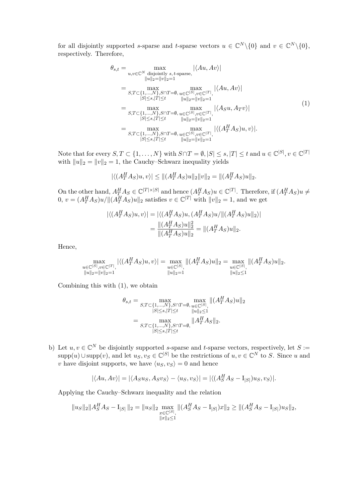for all disjointly supported *s*-sparse and *t*-sparse vectors  $u \in \mathbb{C}^N \setminus \{0\}$  and  $v \in \mathbb{C}^N \setminus \{0\}$ , respectively. Therefore,

$$
\theta_{s,t} = \max_{u,v \in \mathbb{C}^N \text{ disjointly } s,t\text{-sparse}, |\langle Au, Av \rangle|
$$
  
\n
$$
\|u\|_{2} = \|v\|_{2} = 1
$$
  
\n
$$
= \max_{S,T \subset \{1,\ldots,N\}, S \cap T = \emptyset, u \in \mathbb{C}^{|S|}, v \in \mathbb{C}^{|T|}, |\langle Au, Av \rangle|
$$
  
\n
$$
= \max_{S,T \subset \{1,\ldots,N\}, S \cap T = \emptyset, u \in \mathbb{C}^{|S|}, v \in \mathbb{C}^{|T|}, |\langle A_{S}u, Av \rangle|
$$
  
\n
$$
= \max_{|S| \le s, |T| \le t} \max_{\|u\|_{2} = \|v\|_{2} = 1} |\langle A_{S}u, Av \rangle|
$$
  
\n
$$
= \max_{S,T \subset \{1,\ldots,N\}, S \cap T = \emptyset, u \in \mathbb{C}^{|S|}, v \in \mathbb{C}^{|T|}, |\langle (A_{T}^{H} A_{S})u, v \rangle|, |\langle S| \le s, |T| \le t \quad \|u\|_{2} = \|v\|_{2} = 1} |\langle (A_{T}^{H} A_{S})u, v \rangle|.
$$
  
\n(1)

Note that for every  $S, T \subset \{1, ..., N\}$  with  $S \cap T = \emptyset, |S| \le s, |T| \le t$  and  $u \in \mathbb{C}^{|S|}, v \in \mathbb{C}^{|T|}$ with  $||u||_2 = ||v||_2 = 1$ , the Cauchy–Schwarz inequality yields

$$
|\langle (A_T^H A_S)u, v \rangle| \le ||(A_T^H A_S)u||_2 ||v||_2 = ||(A_T^H A_S)u||_2.
$$

On the other hand,  $A_T^H A_S \in \mathbb{C}^{|T| \times |S|}$  and hence  $(A_T^H A_S)u \in \mathbb{C}^{|T|}$ . Therefore, if  $(A_T^H A_S)u \neq$  $0, v = (A_T^H A_S)u/\|A_T^H A_S u\|_2$  satisfies  $v \in \mathbb{C}^{|T|}$  with  $||v||_2 = 1$ , and we get

$$
\begin{aligned} |\langle (A_T^H A_S)u, v \rangle| &= |\langle (A_T^H A_S)u, (A_T^H A_S)u / \|(A_T^H A_S)u\|_2 \rangle| \\ &= \frac{\|(A_T^H A_S)u\|_2^2}{\|(A_T^H A_S)u\|_2} = \|(A_T^H A_S)u\|_2. \end{aligned}
$$

Hence,

$$
\max_{\substack{u \in \mathbb{C}^{|S|}, v \in \mathbb{C}^{|T|}, \\ \|u\|_2 = \|v\|_2 = 1}} |\langle (A^H_T A_S)u, v \rangle| = \max_{\substack{u \in \mathbb{C}^{|S|}, \\ \|u\|_2 = 1}} \| (A^H_T A_S)u \|_2 = \max_{\substack{u \in \mathbb{C}^{|S|}, \\ \|u\|_2 \le 1}} \| (A^H_T A_S)u \|_2.
$$

Combining this with (1), we obtain

$$
\theta_{s,t} = \max_{S,T \subset \{1,\ldots,N\}, S \cap T = \emptyset, u \in \mathbb{C}^{|S|}} \max_{u \in \mathbb{C}^{|S|}} \|(A_T^H A_S)u\|_2
$$
  
\n
$$
= \max_{S,T \subset \{1,\ldots,N\}, S \cap T = \emptyset, \atop |S| \le s, |T| \le t} \|A_T^H A_S\|_2.
$$

b) Let  $u, v \in \mathbb{C}^N$  be disjointly supported *s*-sparse and *t*-sparse vectors, respectively, let  $S :=$  $\text{supp}(u) \cup \text{supp}(v)$ , and let  $u_S, v_S \in \mathbb{C}^{|S|}$  be the restrictions of  $u, v \in \mathbb{C}^N$  to *S*. Since *u* and *v* have disjoint supports, we have  $\langle u_s, v_s \rangle = 0$  and hence

$$
|\langle Au, Av \rangle| = |\langle Asus, Asvs \rangle - \langle u_S, v_S \rangle| = |\langle (A_S^H A_S - I_{|S|})u_S, v_S \rangle|.
$$

Applying the Cauchy–Schwarz inequality and the relation

$$
||u_S||_2||A_S^H A_S - I_{|S|}||_2 = ||u_S||_2 \max_{\substack{x \in \mathbb{C}^{|S|}, \\ ||x||_2 \le 1}} ||(A_S^H A_S - I_{|S|})x||_2 \ge ||(A_S^H A_S - I_{|S|})u_S||_2,
$$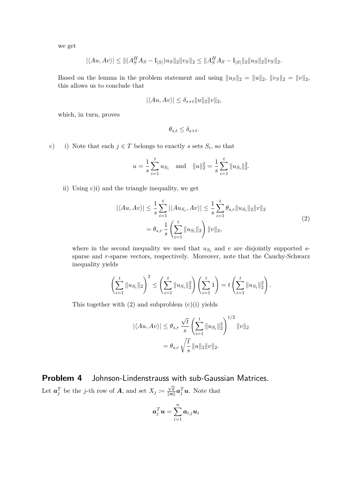we get

$$
|\langle Au, Av \rangle| \le ||(A_S^H A_S - I_{|S|})u_S||_2 ||v_S||_2 \le ||A_S^H A_S - I_{|S|}||_2 ||u_S||_2 ||v_S||_2.
$$

Based on the lemma in the problem statement and using  $||u_S||_2 = ||u||_2$ ,  $||v_S||_2 = ||v||_2$ , this allows us to conclude that

$$
|\langle Au, Av \rangle| \leq \delta_{s+t} ||u||_2 ||v||_2,
$$

which, in turn, proves

$$
\theta_{s,t} \le \delta_{s+t}.
$$

c) i) Note that each  $j \in T$  belongs to exactly *s* sets  $S_i$ , so that

$$
u = \frac{1}{s} \sum_{i=1}^{t} u_{S_i}
$$
 and  $||u||_2^2 = \frac{1}{s} \sum_{i=1}^{t} ||u_{S_i}||_2^2$ .

ii) Using c)i) and the triangle inequality, we get

$$
|\langle Au, Av \rangle| \leq \frac{1}{s} \sum_{i=1}^{t} |\langle Au_{S_i}, Av \rangle| \leq \frac{1}{s} \sum_{i=1}^{t} \theta_{s,r} ||u_{S_i}||_2 ||v||_2
$$
  
=  $\theta_{s,r} \frac{1}{s} \left( \sum_{i=1}^{t} ||u_{S_i}||_2 \right) ||v||_2,$  (2)

where in the second inequality we used that  $u_{S_i}$  and  $v$  are disjointly supported *s*sparse and *r*-sparse vectors, respectively. Moreover, note that the Cauchy-Schwarz inequality yields

$$
\left(\sum_{i=1}^t \|u_{S_i}\|_2\right)^2 \le \left(\sum_{i=1}^t \|u_{S_i}\|_2^2\right) \left(\sum_{i=1}^t 1\right) = t \left(\sum_{i=1}^t \|u_{S_i}\|_2^2\right).
$$

This together with  $(2)$  and subproblem  $(c)(i)$  yields

$$
|\langle Au, Av \rangle| \le \theta_{s,r} \frac{\sqrt{t}}{s} \left( \sum_{i=1}^t ||u_{S_i}||_2^2 \right)^{1/2} ||v||_2
$$
  
=  $\theta_{s,r} \sqrt{\frac{t}{s}} ||u||_2 ||v||_2$ .

**Problem 4** Johnson-Lindenstrauss with sub-Gaussian Matrices. Let  $a_j^T$  be the *j*-th row of *A*, and set  $X_j \coloneqq$ √ *k*  $\frac{\sqrt{k}}{\|u\|}$ *a*<sup>*T*</sup><sub>*u*</sub>. Note that

$$
\boldsymbol{a}_j^T\boldsymbol{u}=\sum_{i=1}^n \boldsymbol{a}_{i,j}\boldsymbol{u}_i
$$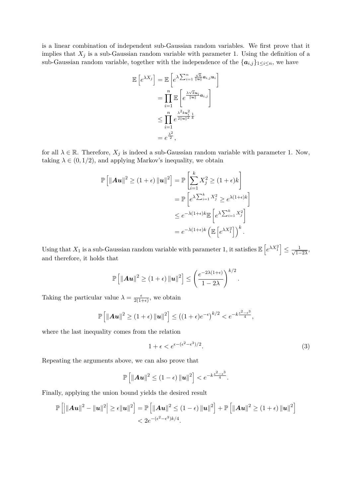is a linear combination of independent sub-Gaussian random variables. We first prove that it implies that  $X_j$  is a sub-Gaussian random variable with parameter 1. Using the definition of a sub-Gaussian random variable, together with the independence of the  ${a_{i,j}}_{1 \leq i \leq n}$ , we have

$$
\mathbb{E}\left[e^{\lambda X_j}\right] = \mathbb{E}\left[e^{\lambda \sum_{i=1}^n \frac{\sqrt{k}}{\|u\|} a_{i,j} u_i}\right]
$$

$$
= \prod_{i=1}^n \mathbb{E}\left[e^{\frac{\lambda \sqrt{k} u_i}{\|u\|} a_{i,j}}\right]
$$

$$
\leq \prod_{i=1}^n e^{\frac{\lambda^2 k u_i^2}{2\|u\|^2} \frac{1}{k}}
$$

$$
= e^{\frac{\lambda^2}{2}},
$$

for all  $\lambda \in \mathbb{R}$ . Therefore,  $X_j$  is indeed a sub-Gaussian random variable with parameter 1. Now, taking  $\lambda \in (0, 1/2)$ , and applying Markov's inequality, we obtain

$$
\mathbb{P}\left[\|\mathbf{A}\mathbf{u}\|^2 \ge (1+\epsilon) \|\mathbf{u}\|^2\right] = \mathbb{P}\left[\sum_{i=1}^k X_i^2 \ge (1+\epsilon)k\right]
$$

$$
= \mathbb{P}\left[e^{\lambda \sum_{i=1}^k X_i^2} \ge e^{\lambda(1+\epsilon)k}\right]
$$

$$
\le e^{-\lambda(1+\epsilon)k} \mathbb{E}\left[e^{\lambda \sum_{i=1}^k X_i^2}\right]
$$

$$
= e^{-\lambda(1+\epsilon)k} \left(\mathbb{E}\left[e^{\lambda X_1^2}\right]\right)^k.
$$

Using that  $X_1$  is a sub-Gaussian random variable with parameter 1, it satisfies  $\mathbb{E}\left[e^{\lambda X_1^2}\right] \leq \frac{1}{\sqrt{1-\lambda}}$  $\frac{1}{1-2\lambda}$ and therefore, it holds that

$$
\mathbb{P}\left[\left\|\mathbf{A}\mathbf{u}\right\|^2 \geq (1+\epsilon)\left\|\mathbf{u}\right\|^2\right] \leq \left(\frac{e^{-2\lambda(1+\epsilon)}}{1-2\lambda}\right)^{k/2}.
$$

Taking the particular value  $\lambda = \frac{\epsilon}{2(1-\epsilon)}$  $\frac{\epsilon}{2(1+\epsilon)}$ , we obtain

$$
\mathbb{P}\left[\|\mathbf{A}\mathbf{u}\|^2 \geq (1+\epsilon)\|\mathbf{u}\|^2\right] \leq \left((1+\epsilon)e^{-\epsilon}\right)^{k/2} < e^{-k\frac{\epsilon^2-\epsilon^3}{4}},
$$

where the last inequality comes from the relation

$$
1 + \epsilon < e^{\epsilon - (\epsilon^2 - \epsilon^3)/2}.\tag{3}
$$

Repeating the arguments above, we can also prove that

$$
\mathbb{P}\left[\|\mathbf{A}\mathbf{u}\|^2 \leq (1-\epsilon)\|\mathbf{u}\|^2\right] < e^{-k\frac{\epsilon^2-\epsilon^3}{4}}.
$$

Finally, applying the union bound yields the desired result

$$
\mathbb{P}\left[\left|\|\mathbf{A}\mathbf{u}\|^2-\|\mathbf{u}\|^2\right|\geq \epsilon \|\mathbf{u}\|^2\right] = \mathbb{P}\left[\|\mathbf{A}\mathbf{u}\|^2\leq (1-\epsilon)\|\mathbf{u}\|^2\right]+\mathbb{P}\left[\|\mathbf{A}\mathbf{u}\|^2\geq (1+\epsilon)\|\mathbf{u}\|^2\right]
$$
  

$$
< 2e^{-(\epsilon^2-\epsilon^3)k/4}.
$$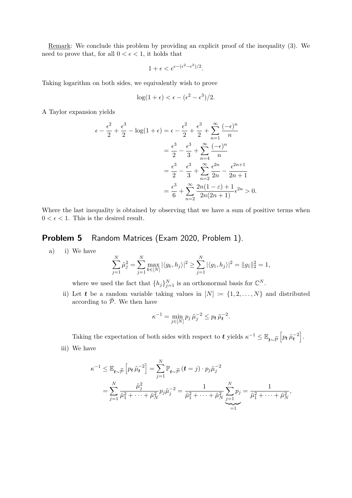Remark: We conclude this problem by providing an explicit proof of the inequality (3). We need to prove that, for all  $0 < \epsilon < 1$ , it holds that

$$
1 + \epsilon < e^{\epsilon - (\epsilon^2 - \epsilon^3)/2}.
$$

Taking logarithm on both sides, we equivalently wish to prove

$$
\log(1+\epsilon) < \epsilon - (\epsilon^2 - \epsilon^3)/2.
$$

A Taylor expansion yields

$$
\epsilon - \frac{\epsilon^2}{2} + \frac{\epsilon^3}{2} - \log(1 + \epsilon) = \epsilon - \frac{\epsilon^2}{2} + \frac{\epsilon^3}{2} + \sum_{n=1}^{\infty} \frac{(-\epsilon)^n}{n}
$$

$$
= \frac{\epsilon^3}{2} - \frac{\epsilon^3}{3} + \sum_{n=4}^{\infty} \frac{(-\epsilon)^n}{n}
$$

$$
= \frac{\epsilon^3}{2} - \frac{\epsilon^3}{3} + \sum_{n=2}^{\infty} \frac{\epsilon^{2n}}{2n} - \frac{\epsilon^{2n+1}}{2n+1}
$$

$$
= \frac{\epsilon^3}{6} + \sum_{n=2}^{\infty} \frac{2n(1-\epsilon) + 1}{2n(2n+1)} \epsilon^{2n} > 0.
$$

Where the last inequality is obtained by observing that we have a sum of positive terms when  $0 < \epsilon < 1$ . This is the desired result.

### **Problem 5** Random Matrices (Exam 2020, Problem 1).

a) i) We have

$$
\sum_{j=1}^N \tilde{\mu}_j^2 = \sum_{j=1}^N \max_{k \in [N]} |\langle g_k, h_j \rangle|^2 \ge \sum_{j=1}^N |\langle g_1, h_j \rangle|^2 = ||g_1||_2^2 = 1,
$$

where we used the fact that  $\{h_j\}_{j=1}^N$  is an orthonormal basis for  $\mathbb{C}^N$ .

ii) Let *t* be a random variable taking values in  $[N] := \{1, 2, \ldots, N\}$  and distributed according to  $\widetilde{\mathcal{P}}$ . We then have

$$
\kappa^{-1} = \min_{j \in [N]} p_j \tilde{\mu}_j^{-2} \le p_t \tilde{\mu}_t^{-2}.
$$

Taking the expectation of both sides with respect to *t* yields  $\kappa^{-1} \leq \mathbb{E}_{t \sim \widetilde{\mathcal{P}}}\left[ p_t \tilde{\mu}_t^{-2} \right]$ . iii) We have

$$
\kappa^{-1} \leq \mathbb{E}_{t \sim \widetilde{\rho}} \left[ p_t \, \tilde{\mu}_t^{-2} \right] = \sum_{j=1}^N \mathbb{P}_{t \sim \widetilde{\rho}} \left( t = j \right) \cdot p_j \tilde{\mu}_j^{-2}
$$
\n
$$
= \sum_{j=1}^N \frac{\tilde{\mu}_j^2}{\tilde{\mu}_1^2 + \dots + \tilde{\mu}_N^2} p_j \tilde{\mu}_j^{-2} = \frac{1}{\tilde{\mu}_1^2 + \dots + \tilde{\mu}_N^2} \sum_{\substack{j=1 \ j \neq j}}^N p_j = \frac{1}{\tilde{\mu}_1^2 + \dots + \tilde{\mu}_N^2},
$$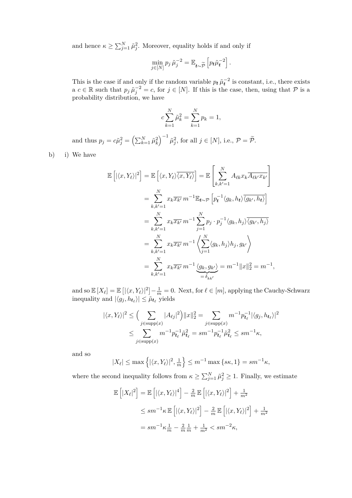and hence  $\kappa \ge \sum_{j=1}^{N} \tilde{\mu}_{j}^{2}$ . Moreover, equality holds if and only if

$$
\min_{j\in[N]} p_j \tilde{\mu}_j^{-2} = \mathbb{E}_{t\sim\widetilde{\mathcal{P}}}\left[p_t \tilde{\mu}_t^{-2}\right].
$$

This is the case if and only if the random variable  $p_t \tilde{\mu}_t^{-2}$  is constant, i.e., there exists a  $c \in \mathbb{R}$  such that  $p_j \tilde{\mu}_j^{-2} = c$ , for  $j \in [N]$ . If this is the case, then, using that  $\mathcal P$  is a probability distribution, we have

$$
c\sum_{k=1}^{N} \tilde{\mu}_k^2 = \sum_{k=1}^{N} p_k = 1,
$$

and thus  $p_j = c\tilde{\mu}_j^2 = \left(\sum_{k=1}^N \tilde{\mu}_k^2\right)^{-1} \tilde{\mu}_j^2$ , for all  $j \in [N]$ , i.e.,  $\mathcal{P} = \tilde{\mathcal{P}}$ .

b) i) We have

$$
\mathbb{E}\left[|\langle x, Y_{\ell}\rangle|^{2}\right] = \mathbb{E}\left[\langle x, Y_{\ell}\rangle\overline{\langle x, Y_{\ell}\rangle}\right] = \mathbb{E}\left[\sum_{k, k'=1}^{N} A_{\ell k} x_{k} \overline{A_{\ell k'} x_{k'}}\right]
$$

$$
= \sum_{k, k'=1}^{N} x_{k} \overline{x_{k'}} m^{-1} \mathbb{E}_{t \sim \mathcal{P}}\left[p_{t}^{-1} \langle g_{k}, h_{t}\rangle \overline{\langle g_{k'}, h_{t}\rangle}\right]
$$

$$
= \sum_{k, k'=1}^{N} x_{k} \overline{x_{k'}} m^{-1} \sum_{j=1}^{N} p_{j} \cdot p_{j}^{-1} \langle g_{k}, h_{j}\rangle \overline{\langle g_{k'}, h_{j}\rangle}
$$

$$
= \sum_{k, k'=1}^{N} x_{k} \overline{x_{k'}} m^{-1} \left\langle \sum_{j=1}^{N} \langle g_{k}, h_{j}\rangle h_{j}, g_{k'} \right\rangle
$$

$$
= \sum_{k, k'=1}^{N} x_{k} \overline{x_{k'}} m^{-1} \underbrace{\langle g_{k}, g_{k'}\rangle}_{= \delta_{kk'}} = m^{-1} \|x\|_{2}^{2} = m^{-1}
$$

and so  $\mathbb{E}[X_{\ell}] = \mathbb{E}[(\langle x, Y_{\ell} \rangle|^2] - \frac{1}{m} = 0$ . Next, for  $\ell \in [m]$ , applying the Cauchy-Schwarz inequality and  $|\langle g_j, h_{t_\ell} \rangle| \leq \tilde{\mu}_{t_\ell}$  yields

*,*

$$
|\langle x, Y_{\ell} \rangle|^{2} \leq \Big( \sum_{j \in \text{supp}(x)} |A_{\ell j}|^{2} \Big) \|x\|_{2}^{2} = \sum_{j \in \text{supp}(x)} m^{-1} p_{t_{\ell}}^{-1} |\langle g_{j}, h_{t_{\ell}} \rangle|^{2}
$$
  

$$
\leq \sum_{j \in \text{supp}(x)} m^{-1} p_{t_{\ell}}^{-1} \tilde{\mu}_{t_{\ell}}^{2} = sm^{-1} p_{t_{\ell}}^{-1} \tilde{\mu}_{t_{\ell}}^{2} \leq sm^{-1} \kappa,
$$

and so

$$
|X_{\ell}| \le \max\left\{ |\langle x, Y_{\ell} \rangle|^2, \frac{1}{m} \right\} \le m^{-1} \max\left\{ s\kappa, 1 \right\} = s m^{-1} \kappa,
$$

where the second inequality follows from  $\kappa \ge \sum_{j=1}^{N} \tilde{\mu}_j^2 \ge 1$ . Finally, we estimate

$$
\mathbb{E}\left[|X_{\ell}|^{2}\right] = \mathbb{E}\left[|\langle x, Y_{\ell}\rangle|^{4}\right] - \frac{2}{m}\mathbb{E}\left[|\langle x, Y_{\ell}\rangle|^{2}\right] + \frac{1}{m^{2}}
$$
  
\n
$$
\leq sm^{-1}\kappa \mathbb{E}\left[|\langle x, Y_{\ell}\rangle|^{2}\right] - \frac{2}{m}\mathbb{E}\left[|\langle x, Y_{\ell}\rangle|^{2}\right] + \frac{1}{m^{2}}
$$
  
\n
$$
= sm^{-1}\kappa \frac{1}{m} - \frac{2}{m}\frac{1}{m} + \frac{1}{m^{2}} < sm^{-2}\kappa,
$$